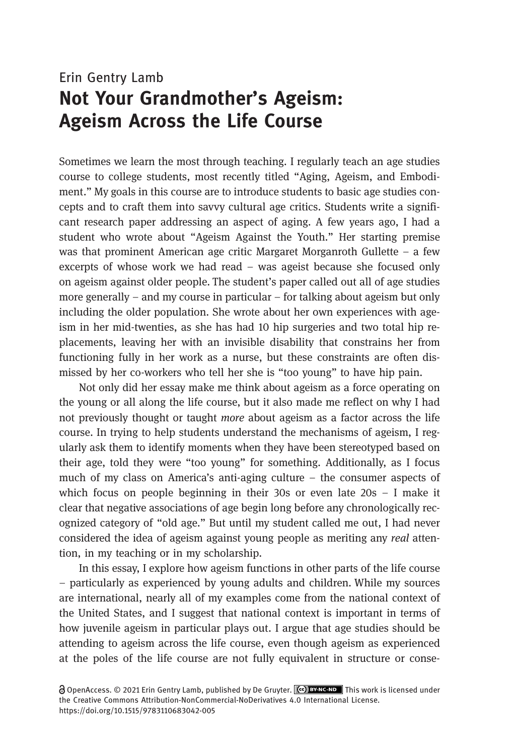# Erin Gentry Lamb Not Your Grandmother's Ageism: Ageism Across the Life Course

Sometimes we learn the most through teaching. I regularly teach an age studies course to college students, most recently titled "Aging, Ageism, and Embodiment." My goals in this course are to introduce students to basic age studies concepts and to craft them into savvy cultural age critics. Students write a significant research paper addressing an aspect of aging. A few years ago, I had a student who wrote about "Ageism Against the Youth." Her starting premise was that prominent American age critic Margaret Morganroth Gullette – a few excerpts of whose work we had read – was ageist because she focused only on ageism against older people. The student's paper called out all of age studies more generally – and my course in particular – for talking about ageism but only including the older population. She wrote about her own experiences with ageism in her mid-twenties, as she has had 10 hip surgeries and two total hip replacements, leaving her with an invisible disability that constrains her from functioning fully in her work as a nurse, but these constraints are often dismissed by her co-workers who tell her she is "too young" to have hip pain.

Not only did her essay make me think about ageism as a force operating on the young or all along the life course, but it also made me reflect on why I had not previously thought or taught more about ageism as a factor across the life course. In trying to help students understand the mechanisms of ageism, I regularly ask them to identify moments when they have been stereotyped based on their age, told they were "too young" for something. Additionally, as I focus much of my class on America's anti-aging culture – the consumer aspects of which focus on people beginning in their 30s or even late 20s – I make it clear that negative associations of age begin long before any chronologically recognized category of "old age." But until my student called me out, I had never considered the idea of ageism against young people as meriting any *real* attention, in my teaching or in my scholarship.

In this essay, I explore how ageism functions in other parts of the life course – particularly as experienced by young adults and children. While my sources are international, nearly all of my examples come from the national context of the United States, and I suggest that national context is important in terms of how juvenile ageism in particular plays out. I argue that age studies should be attending to ageism across the life course, even though ageism as experienced at the poles of the life course are not fully equivalent in structure or conse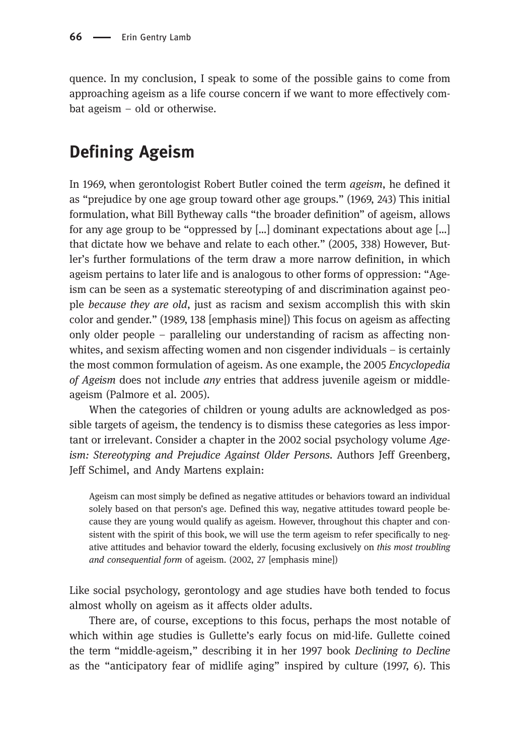quence. In my conclusion, I speak to some of the possible gains to come from approaching ageism as a life course concern if we want to more effectively combat ageism – old or otherwise.

# Defining Ageism

In 1969, when gerontologist Robert Butler coined the term ageism, he defined it as "prejudice by one age group toward other age groups." (1969, 243) This initial formulation, what Bill Bytheway calls "the broader definition" of ageism, allows for any age group to be "oppressed by […] dominant expectations about age […] that dictate how we behave and relate to each other." (2005, 338) However, Butler's further formulations of the term draw a more narrow definition, in which ageism pertains to later life and is analogous to other forms of oppression: "Ageism can be seen as a systematic stereotyping of and discrimination against people because they are old, just as racism and sexism accomplish this with skin color and gender." (1989, 138 [emphasis mine]) This focus on ageism as affecting only older people – paralleling our understanding of racism as affecting nonwhites, and sexism affecting women and non cisgender individuals – is certainly the most common formulation of ageism. As one example, the 2005 Encyclopedia of Ageism does not include any entries that address juvenile ageism or middleageism (Palmore et al. 2005).

When the categories of children or young adults are acknowledged as possible targets of ageism, the tendency is to dismiss these categories as less important or irrelevant. Consider a chapter in the 2002 social psychology volume Ageism: Stereotyping and Prejudice Against Older Persons. Authors Jeff Greenberg, Jeff Schimel, and Andy Martens explain:

Ageism can most simply be defined as negative attitudes or behaviors toward an individual solely based on that person's age. Defined this way, negative attitudes toward people because they are young would qualify as ageism. However, throughout this chapter and consistent with the spirit of this book, we will use the term ageism to refer specifically to negative attitudes and behavior toward the elderly, focusing exclusively on this most troubling and consequential form of ageism. (2002, 27 [emphasis mine])

Like social psychology, gerontology and age studies have both tended to focus almost wholly on ageism as it affects older adults.

There are, of course, exceptions to this focus, perhaps the most notable of which within age studies is Gullette's early focus on mid-life. Gullette coined the term "middle-ageism," describing it in her 1997 book Declining to Decline as the "anticipatory fear of midlife aging" inspired by culture (1997, 6). This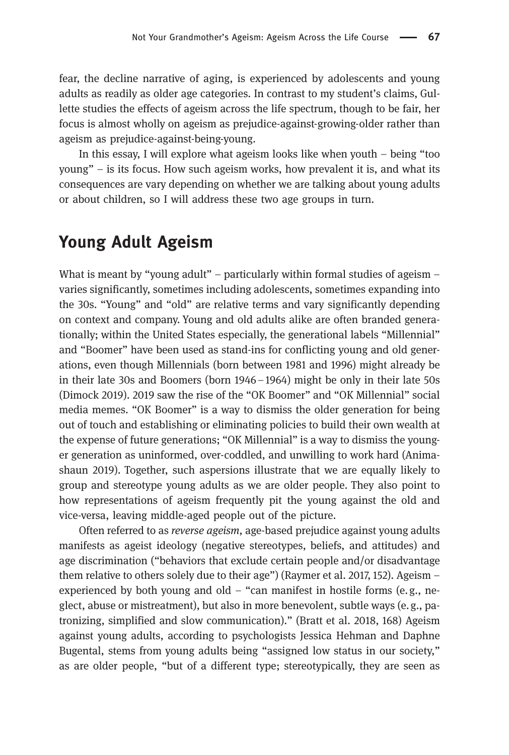fear, the decline narrative of aging, is experienced by adolescents and young adults as readily as older age categories. In contrast to my student's claims, Gullette studies the effects of ageism across the life spectrum, though to be fair, her focus is almost wholly on ageism as prejudice-against-growing-older rather than ageism as prejudice-against-being-young.

In this essay, I will explore what ageism looks like when youth – being "too young" – is its focus. How such ageism works, how prevalent it is, and what its consequences are vary depending on whether we are talking about young adults or about children, so I will address these two age groups in turn.

#### Young Adult Ageism

What is meant by "young adult" – particularly within formal studies of ageism – varies significantly, sometimes including adolescents, sometimes expanding into the 30s. "Young" and "old" are relative terms and vary significantly depending on context and company. Young and old adults alike are often branded generationally; within the United States especially, the generational labels "Millennial" and "Boomer" have been used as stand-ins for conflicting young and old generations, even though Millennials (born between 1981 and 1996) might already be in their late 30s and Boomers (born 1946–1964) might be only in their late 50s (Dimock 2019). 2019 saw the rise of the "OK Boomer" and "OK Millennial" social media memes. "OK Boomer" is a way to dismiss the older generation for being out of touch and establishing or eliminating policies to build their own wealth at the expense of future generations; "OK Millennial" is a way to dismiss the younger generation as uninformed, over-coddled, and unwilling to work hard (Animashaun 2019). Together, such aspersions illustrate that we are equally likely to group and stereotype young adults as we are older people. They also point to how representations of ageism frequently pit the young against the old and vice-versa, leaving middle-aged people out of the picture.

Often referred to as reverse ageism, age-based prejudice against young adults manifests as ageist ideology (negative stereotypes, beliefs, and attitudes) and age discrimination ("behaviors that exclude certain people and/or disadvantage them relative to others solely due to their age") (Raymer et al. 2017, 152). Ageism – experienced by both young and old – "can manifest in hostile forms (e.g., neglect, abuse or mistreatment), but also in more benevolent, subtle ways (e.g., patronizing, simplified and slow communication)." (Bratt et al. 2018, 168) Ageism against young adults, according to psychologists Jessica Hehman and Daphne Bugental, stems from young adults being "assigned low status in our society," as are older people, "but of a different type; stereotypically, they are seen as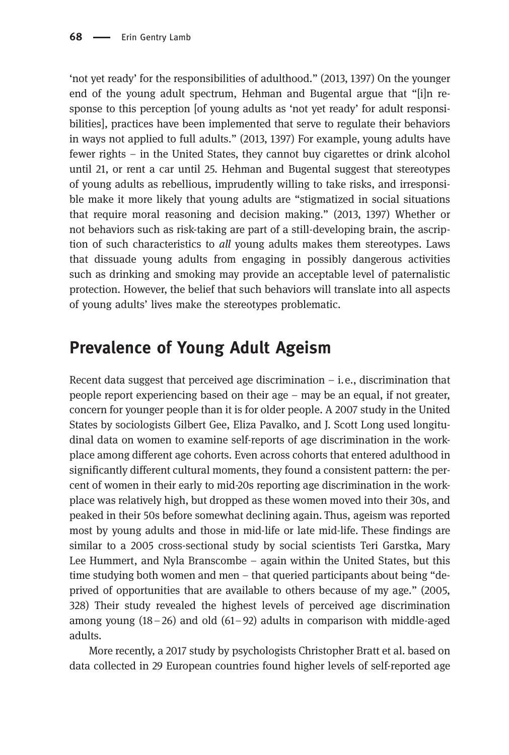'not yet ready' for the responsibilities of adulthood." (2013, 1397) On the younger end of the young adult spectrum, Hehman and Bugental argue that "[i]n response to this perception [of young adults as 'not yet ready' for adult responsibilities], practices have been implemented that serve to regulate their behaviors in ways not applied to full adults." (2013, 1397) For example, young adults have fewer rights – in the United States, they cannot buy cigarettes or drink alcohol until 21, or rent a car until 25. Hehman and Bugental suggest that stereotypes of young adults as rebellious, imprudently willing to take risks, and irresponsible make it more likely that young adults are "stigmatized in social situations that require moral reasoning and decision making." (2013, 1397) Whether or not behaviors such as risk-taking are part of a still-developing brain, the ascription of such characteristics to all young adults makes them stereotypes. Laws that dissuade young adults from engaging in possibly dangerous activities such as drinking and smoking may provide an acceptable level of paternalistic protection. However, the belief that such behaviors will translate into all aspects of young adults' lives make the stereotypes problematic.

## Prevalence of Young Adult Ageism

Recent data suggest that perceived age discrimination  $-$  i.e., discrimination that people report experiencing based on their age – may be an equal, if not greater, concern for younger people than it is for older people. A 2007 study in the United States by sociologists Gilbert Gee, Eliza Pavalko, and J. Scott Long used longitudinal data on women to examine self-reports of age discrimination in the workplace among different age cohorts. Even across cohorts that entered adulthood in significantly different cultural moments, they found a consistent pattern: the percent of women in their early to mid-20s reporting age discrimination in the workplace was relatively high, but dropped as these women moved into their 30s, and peaked in their 50s before somewhat declining again. Thus, ageism was reported most by young adults and those in mid-life or late mid-life. These findings are similar to a 2005 cross-sectional study by social scientists Teri Garstka, Mary Lee Hummert, and Nyla Branscombe – again within the United States, but this time studying both women and men – that queried participants about being "deprived of opportunities that are available to others because of my age." (2005, 328) Their study revealed the highest levels of perceived age discrimination among young (18–26) and old (61–92) adults in comparison with middle-aged adults.

More recently, a 2017 study by psychologists Christopher Bratt et al. based on data collected in 29 European countries found higher levels of self-reported age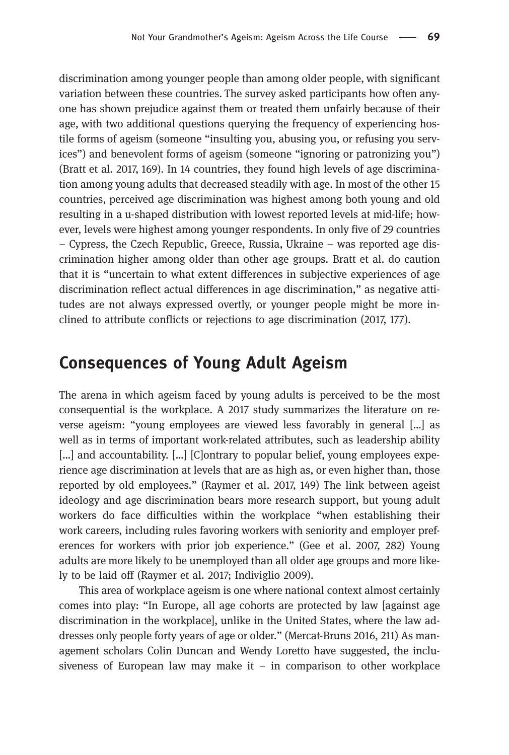discrimination among younger people than among older people, with significant variation between these countries. The survey asked participants how often anyone has shown prejudice against them or treated them unfairly because of their age, with two additional questions querying the frequency of experiencing hostile forms of ageism (someone "insulting you, abusing you, or refusing you services") and benevolent forms of ageism (someone "ignoring or patronizing you") (Bratt et al. 2017, 169). In 14 countries, they found high levels of age discrimination among young adults that decreased steadily with age. In most of the other 15 countries, perceived age discrimination was highest among both young and old resulting in a u-shaped distribution with lowest reported levels at mid-life; however, levels were highest among younger respondents. In only five of 29 countries – Cypress, the Czech Republic, Greece, Russia, Ukraine – was reported age discrimination higher among older than other age groups. Bratt et al. do caution that it is "uncertain to what extent differences in subjective experiences of age discrimination reflect actual differences in age discrimination," as negative attitudes are not always expressed overtly, or younger people might be more inclined to attribute conflicts or rejections to age discrimination (2017, 177).

#### Consequences of Young Adult Ageism

The arena in which ageism faced by young adults is perceived to be the most consequential is the workplace. A 2017 study summarizes the literature on reverse ageism: "young employees are viewed less favorably in general […] as well as in terms of important work-related attributes, such as leadership ability [...] and accountability. [...] [C]ontrary to popular belief, young employees experience age discrimination at levels that are as high as, or even higher than, those reported by old employees." (Raymer et al. 2017, 149) The link between ageist ideology and age discrimination bears more research support, but young adult workers do face difficulties within the workplace "when establishing their work careers, including rules favoring workers with seniority and employer preferences for workers with prior job experience." (Gee et al. 2007, 282) Young adults are more likely to be unemployed than all older age groups and more likely to be laid off (Raymer et al. 2017; Indiviglio 2009).

This area of workplace ageism is one where national context almost certainly comes into play: "In Europe, all age cohorts are protected by law [against age discrimination in the workplace], unlike in the United States, where the law addresses only people forty years of age or older." (Mercat-Bruns 2016, 211) As management scholars Colin Duncan and Wendy Loretto have suggested, the inclusiveness of European law may make it  $-$  in comparison to other workplace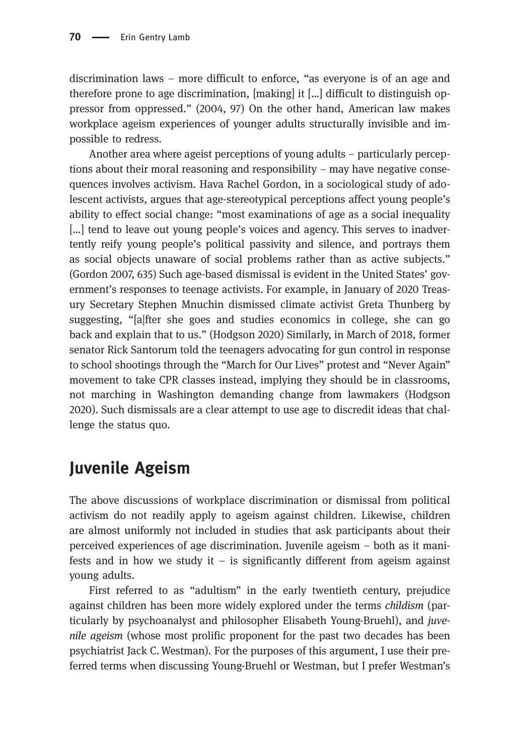discrimination laws – more difficult to enforce, "as everyone is of an age and therefore prone to age discrimination, [making] it […] difficult to distinguish oppressor from oppressed." (2004, 97) On the other hand, American law makes workplace ageism experiences of younger adults structurally invisible and impossible to redress.

Another area where ageist perceptions of young adults – particularly perceptions about their moral reasoning and responsibility – may have negative consequences involves activism. Hava Rachel Gordon, in a sociological study of adolescent activists, argues that age-stereotypical perceptions affect young people's ability to effect social change: "most examinations of age as a social inequality [...] tend to leave out young people's voices and agency. This serves to inadvertently reify young people's political passivity and silence, and portrays them as social objects unaware of social problems rather than as active subjects." (Gordon 2007, 635) Such age-based dismissal is evident in the United States' government's responses to teenage activists. For example, in January of 2020 Treasury Secretary Stephen Mnuchin dismissed climate activist Greta Thunberg by suggesting, "[a|fter she goes and studies economics in college, she can go back and explain that to us." (Hodgson 2020) Similarly, in March of 2018, former senator Rick Santorum told the teenagers advocating for gun control in response to school shootings through the "March for Our Lives" protest and "Never Again" movement to take CPR classes instead, implying they should be in classrooms, not marching in Washington demanding change from lawmakers (Hodgson 2020). Such dismissals are a clear attempt to use age to discredit ideas that challenge the status quo.

## Juvenile Ageism

The above discussions of workplace discrimination or dismissal from political activism do not readily apply to ageism against children. Likewise, children are almost uniformly not included in studies that ask participants about their perceived experiences of age discrimination. Juvenile ageism – both as it manifests and in how we study it – is significantly different from ageism against young adults.

First referred to as "adultism" in the early twentieth century, prejudice against children has been more widely explored under the terms childism (particularly by psychoanalyst and philosopher Elisabeth Young-Bruehl), and juvenile ageism (whose most prolific proponent for the past two decades has been psychiatrist Jack C. Westman). For the purposes of this argument, I use their preferred terms when discussing Young-Bruehl or Westman, but I prefer Westman's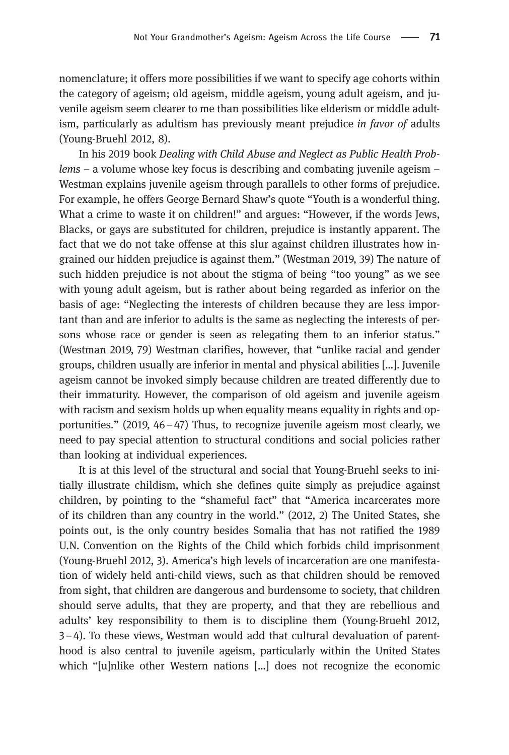nomenclature; it offers more possibilities if we want to specify age cohorts within the category of ageism; old ageism, middle ageism, young adult ageism, and juvenile ageism seem clearer to me than possibilities like elderism or middle adultism, particularly as adultism has previously meant prejudice in favor of adults (Young-Bruehl 2012, 8).

In his 2019 book Dealing with Child Abuse and Neglect as Public Health Problems – a volume whose key focus is describing and combating juvenile ageism – Westman explains juvenile ageism through parallels to other forms of prejudice. For example, he offers George Bernard Shaw's quote "Youth is a wonderful thing. What a crime to waste it on children!" and argues: "However, if the words Jews, Blacks, or gays are substituted for children, prejudice is instantly apparent. The fact that we do not take offense at this slur against children illustrates how ingrained our hidden prejudice is against them." (Westman 2019, 39) The nature of such hidden prejudice is not about the stigma of being "too young" as we see with young adult ageism, but is rather about being regarded as inferior on the basis of age: "Neglecting the interests of children because they are less important than and are inferior to adults is the same as neglecting the interests of persons whose race or gender is seen as relegating them to an inferior status." (Westman 2019, 79) Westman clarifies, however, that "unlike racial and gender groups, children usually are inferior in mental and physical abilities […]. Juvenile ageism cannot be invoked simply because children are treated differently due to their immaturity. However, the comparison of old ageism and juvenile ageism with racism and sexism holds up when equality means equality in rights and opportunities." (2019,  $46 - 47$ ) Thus, to recognize juvenile ageism most clearly, we need to pay special attention to structural conditions and social policies rather than looking at individual experiences.

It is at this level of the structural and social that Young-Bruehl seeks to initially illustrate childism, which she defines quite simply as prejudice against children, by pointing to the "shameful fact" that "America incarcerates more of its children than any country in the world." (2012, 2) The United States, she points out, is the only country besides Somalia that has not ratified the 1989 U.N. Convention on the Rights of the Child which forbids child imprisonment (Young-Bruehl 2012, 3). America's high levels of incarceration are one manifestation of widely held anti-child views, such as that children should be removed from sight, that children are dangerous and burdensome to society, that children should serve adults, that they are property, and that they are rebellious and adults' key responsibility to them is to discipline them (Young-Bruehl 2012, 3–4). To these views, Westman would add that cultural devaluation of parenthood is also central to juvenile ageism, particularly within the United States which "[u]nlike other Western nations […] does not recognize the economic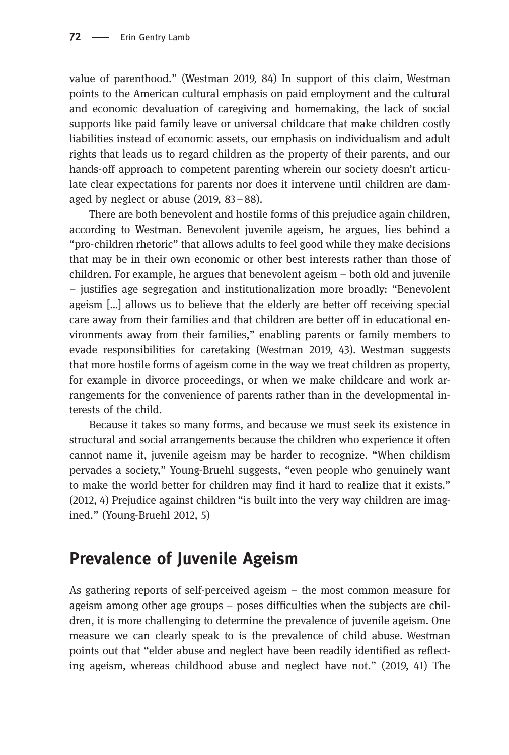value of parenthood." (Westman 2019, 84) In support of this claim, Westman points to the American cultural emphasis on paid employment and the cultural and economic devaluation of caregiving and homemaking, the lack of social supports like paid family leave or universal childcare that make children costly liabilities instead of economic assets, our emphasis on individualism and adult rights that leads us to regard children as the property of their parents, and our hands-off approach to competent parenting wherein our society doesn't articulate clear expectations for parents nor does it intervene until children are damaged by neglect or abuse (2019, 83–88).

There are both benevolent and hostile forms of this prejudice again children, according to Westman. Benevolent juvenile ageism, he argues, lies behind a "pro-children rhetoric" that allows adults to feel good while they make decisions that may be in their own economic or other best interests rather than those of children. For example, he argues that benevolent ageism – both old and juvenile – justifies age segregation and institutionalization more broadly: "Benevolent ageism […] allows us to believe that the elderly are better off receiving special care away from their families and that children are better off in educational environments away from their families," enabling parents or family members to evade responsibilities for caretaking (Westman 2019, 43). Westman suggests that more hostile forms of ageism come in the way we treat children as property, for example in divorce proceedings, or when we make childcare and work arrangements for the convenience of parents rather than in the developmental interests of the child.

Because it takes so many forms, and because we must seek its existence in structural and social arrangements because the children who experience it often cannot name it, juvenile ageism may be harder to recognize. "When childism pervades a society," Young-Bruehl suggests, "even people who genuinely want to make the world better for children may find it hard to realize that it exists." (2012, 4) Prejudice against children "is built into the very way children are imagined." (Young-Bruehl 2012, 5)

## Prevalence of Juvenile Ageism

As gathering reports of self-perceived ageism – the most common measure for ageism among other age groups – poses difficulties when the subjects are children, it is more challenging to determine the prevalence of juvenile ageism. One measure we can clearly speak to is the prevalence of child abuse. Westman points out that "elder abuse and neglect have been readily identified as reflecting ageism, whereas childhood abuse and neglect have not." (2019, 41) The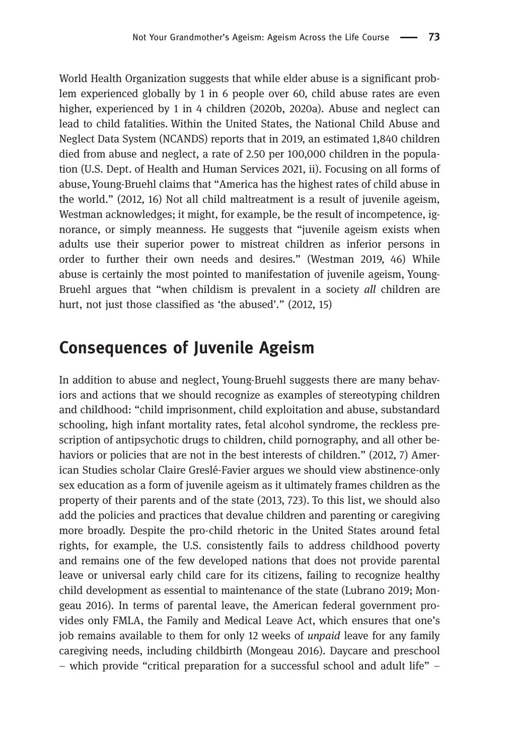World Health Organization suggests that while elder abuse is a significant problem experienced globally by 1 in 6 people over 60, child abuse rates are even higher, experienced by 1 in 4 children (2020b, 2020a). Abuse and neglect can lead to child fatalities. Within the United States, the National Child Abuse and Neglect Data System (NCANDS) reports that in 2019, an estimated 1,840 children died from abuse and neglect, a rate of 2.50 per 100,000 children in the population (U.S. Dept. of Health and Human Services 2021, ii). Focusing on all forms of abuse,Young-Bruehl claims that "America has the highest rates of child abuse in the world." (2012, 16) Not all child maltreatment is a result of juvenile ageism, Westman acknowledges; it might, for example, be the result of incompetence, ignorance, or simply meanness. He suggests that "juvenile ageism exists when adults use their superior power to mistreat children as inferior persons in order to further their own needs and desires." (Westman 2019, 46) While abuse is certainly the most pointed to manifestation of juvenile ageism, Young-Bruehl argues that "when childism is prevalent in a society all children are hurt, not just those classified as 'the abused'." (2012, 15)

#### Consequences of Juvenile Ageism

In addition to abuse and neglect, Young-Bruehl suggests there are many behaviors and actions that we should recognize as examples of stereotyping children and childhood: "child imprisonment, child exploitation and abuse, substandard schooling, high infant mortality rates, fetal alcohol syndrome, the reckless prescription of antipsychotic drugs to children, child pornography, and all other behaviors or policies that are not in the best interests of children." (2012, 7) American Studies scholar Claire Greslé-Favier argues we should view abstinence-only sex education as a form of juvenile ageism as it ultimately frames children as the property of their parents and of the state (2013, 723). To this list, we should also add the policies and practices that devalue children and parenting or caregiving more broadly. Despite the pro-child rhetoric in the United States around fetal rights, for example, the U.S. consistently fails to address childhood poverty and remains one of the few developed nations that does not provide parental leave or universal early child care for its citizens, failing to recognize healthy child development as essential to maintenance of the state (Lubrano 2019; Mongeau 2016). In terms of parental leave, the American federal government provides only FMLA, the Family and Medical Leave Act, which ensures that one's job remains available to them for only 12 weeks of *unpaid* leave for any family caregiving needs, including childbirth (Mongeau 2016). Daycare and preschool – which provide "critical preparation for a successful school and adult life" –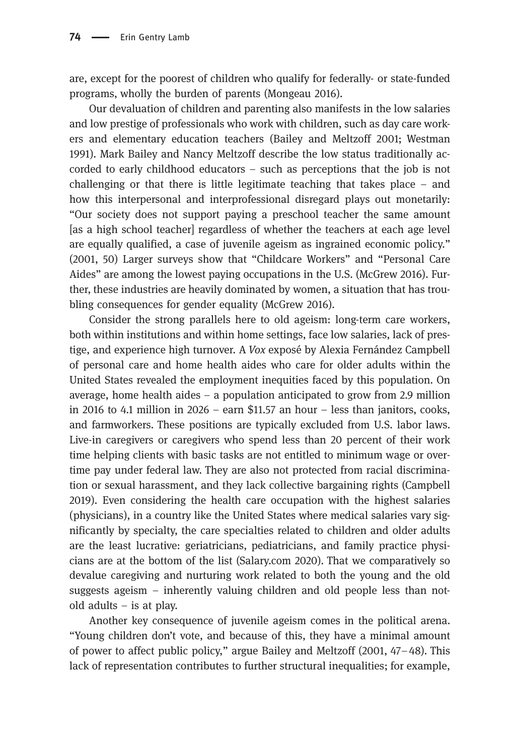are, except for the poorest of children who qualify for federally- or state-funded programs, wholly the burden of parents (Mongeau 2016).

Our devaluation of children and parenting also manifests in the low salaries and low prestige of professionals who work with children, such as day care workers and elementary education teachers (Bailey and Meltzoff 2001; Westman 1991). Mark Bailey and Nancy Meltzoff describe the low status traditionally accorded to early childhood educators – such as perceptions that the job is not challenging or that there is little legitimate teaching that takes place – and how this interpersonal and interprofessional disregard plays out monetarily: "Our society does not support paying a preschool teacher the same amount [as a high school teacher] regardless of whether the teachers at each age level are equally qualified, a case of juvenile ageism as ingrained economic policy." (2001, 50) Larger surveys show that "Childcare Workers" and "Personal Care Aides" are among the lowest paying occupations in the U.S. (McGrew 2016). Further, these industries are heavily dominated by women, a situation that has troubling consequences for gender equality (McGrew 2016).

Consider the strong parallels here to old ageism: long-term care workers, both within institutions and within home settings, face low salaries, lack of prestige, and experience high turnover. A Vox exposé by Alexia Fernández Campbell of personal care and home health aides who care for older adults within the United States revealed the employment inequities faced by this population. On average, home health aides – a population anticipated to grow from 2.9 million in 2016 to 4.1 million in 2026 – earn \$11.57 an hour – less than janitors, cooks, and farmworkers. These positions are typically excluded from U.S. labor laws. Live-in caregivers or caregivers who spend less than 20 percent of their work time helping clients with basic tasks are not entitled to minimum wage or overtime pay under federal law. They are also not protected from racial discrimination or sexual harassment, and they lack collective bargaining rights (Campbell 2019). Even considering the health care occupation with the highest salaries (physicians), in a country like the United States where medical salaries vary significantly by specialty, the care specialties related to children and older adults are the least lucrative: geriatricians, pediatricians, and family practice physicians are at the bottom of the list (Salary.com 2020). That we comparatively so devalue caregiving and nurturing work related to both the young and the old suggests ageism – inherently valuing children and old people less than notold adults – is at play.

Another key consequence of juvenile ageism comes in the political arena. "Young children don't vote, and because of this, they have a minimal amount of power to affect public policy," argue Bailey and Meltzoff (2001, 47–48). This lack of representation contributes to further structural inequalities; for example,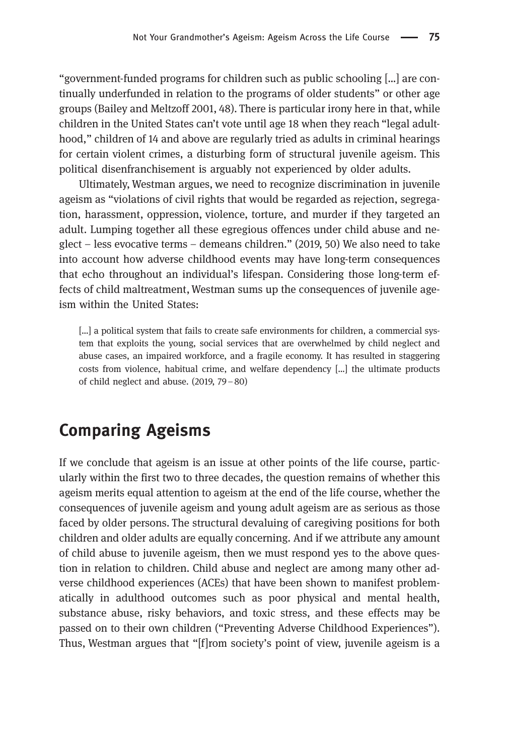"government-funded programs for children such as public schooling […] are continually underfunded in relation to the programs of older students" or other age groups (Bailey and Meltzoff 2001, 48). There is particular irony here in that, while children in the United States can't vote until age 18 when they reach "legal adulthood," children of 14 and above are regularly tried as adults in criminal hearings for certain violent crimes, a disturbing form of structural juvenile ageism. This political disenfranchisement is arguably not experienced by older adults.

Ultimately, Westman argues, we need to recognize discrimination in juvenile ageism as "violations of civil rights that would be regarded as rejection, segregation, harassment, oppression, violence, torture, and murder if they targeted an adult. Lumping together all these egregious offences under child abuse and neglect – less evocative terms – demeans children." (2019, 50) We also need to take into account how adverse childhood events may have long-term consequences that echo throughout an individual's lifespan. Considering those long-term effects of child maltreatment, Westman sums up the consequences of juvenile ageism within the United States:

[...] a political system that fails to create safe environments for children, a commercial system that exploits the young, social services that are overwhelmed by child neglect and abuse cases, an impaired workforce, and a fragile economy. It has resulted in staggering costs from violence, habitual crime, and welfare dependency […] the ultimate products of child neglect and abuse. (2019, 79–80)

#### Comparing Ageisms

If we conclude that ageism is an issue at other points of the life course, particularly within the first two to three decades, the question remains of whether this ageism merits equal attention to ageism at the end of the life course, whether the consequences of juvenile ageism and young adult ageism are as serious as those faced by older persons. The structural devaluing of caregiving positions for both children and older adults are equally concerning. And if we attribute any amount of child abuse to juvenile ageism, then we must respond yes to the above question in relation to children. Child abuse and neglect are among many other adverse childhood experiences (ACEs) that have been shown to manifest problematically in adulthood outcomes such as poor physical and mental health, substance abuse, risky behaviors, and toxic stress, and these effects may be passed on to their own children ("Preventing Adverse Childhood Experiences"). Thus, Westman argues that "[f]rom society's point of view, juvenile ageism is a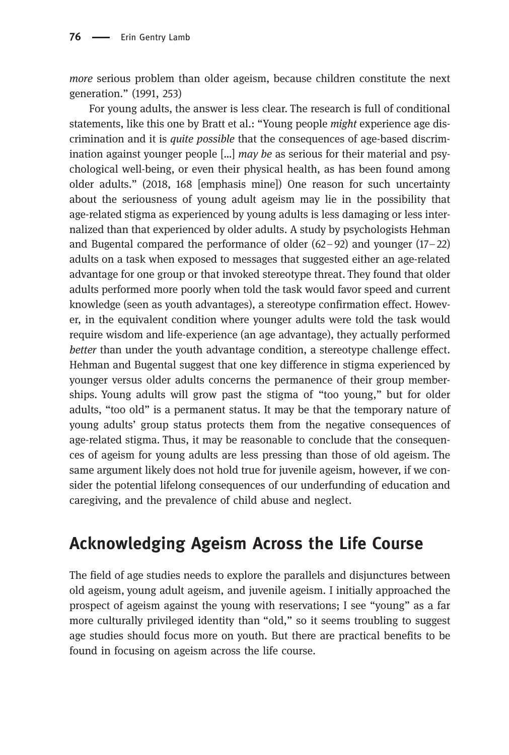more serious problem than older ageism, because children constitute the next generation." (1991, 253)

For young adults, the answer is less clear. The research is full of conditional statements, like this one by Bratt et al.: "Young people might experience age discrimination and it is quite possible that the consequences of age-based discrimination against younger people  $\left[\ldots\right]$  may be as serious for their material and psychological well-being, or even their physical health, as has been found among older adults." (2018, 168 [emphasis mine]) One reason for such uncertainty about the seriousness of young adult ageism may lie in the possibility that age-related stigma as experienced by young adults is less damaging or less internalized than that experienced by older adults. A study by psychologists Hehman and Bugental compared the performance of older  $(62-92)$  and younger  $(17-22)$ adults on a task when exposed to messages that suggested either an age-related advantage for one group or that invoked stereotype threat. They found that older adults performed more poorly when told the task would favor speed and current knowledge (seen as youth advantages), a stereotype confirmation effect. However, in the equivalent condition where younger adults were told the task would require wisdom and life-experience (an age advantage), they actually performed better than under the youth advantage condition, a stereotype challenge effect. Hehman and Bugental suggest that one key difference in stigma experienced by younger versus older adults concerns the permanence of their group memberships. Young adults will grow past the stigma of "too young," but for older adults, "too old" is a permanent status. It may be that the temporary nature of young adults' group status protects them from the negative consequences of age-related stigma. Thus, it may be reasonable to conclude that the consequences of ageism for young adults are less pressing than those of old ageism. The same argument likely does not hold true for juvenile ageism, however, if we consider the potential lifelong consequences of our underfunding of education and caregiving, and the prevalence of child abuse and neglect.

## Acknowledging Ageism Across the Life Course

The field of age studies needs to explore the parallels and disjunctures between old ageism, young adult ageism, and juvenile ageism. I initially approached the prospect of ageism against the young with reservations; I see "young" as a far more culturally privileged identity than "old," so it seems troubling to suggest age studies should focus more on youth. But there are practical benefits to be found in focusing on ageism across the life course.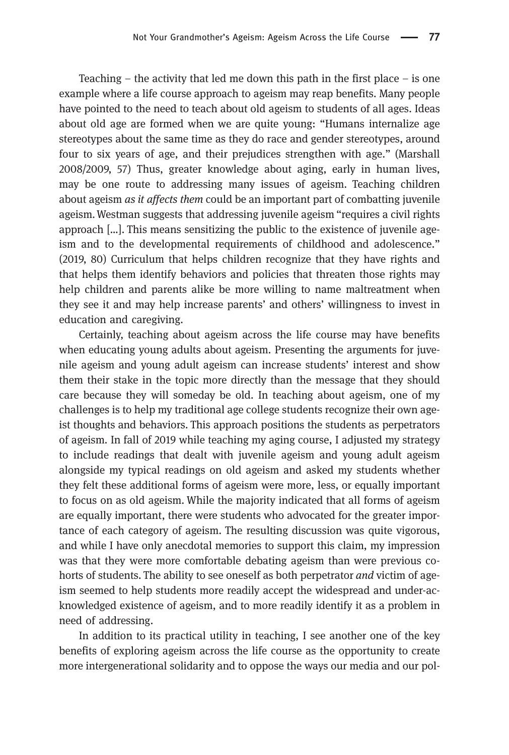Teaching – the activity that led me down this path in the first place – is one example where a life course approach to ageism may reap benefits. Many people have pointed to the need to teach about old ageism to students of all ages. Ideas about old age are formed when we are quite young: "Humans internalize age stereotypes about the same time as they do race and gender stereotypes, around four to six years of age, and their prejudices strengthen with age." (Marshall 2008/2009, 57) Thus, greater knowledge about aging, early in human lives, may be one route to addressing many issues of ageism. Teaching children about ageism *as it affects them* could be an important part of combatting juvenile ageism.Westman suggests that addressing juvenile ageism "requires a civil rights approach […]. This means sensitizing the public to the existence of juvenile ageism and to the developmental requirements of childhood and adolescence." (2019, 80) Curriculum that helps children recognize that they have rights and that helps them identify behaviors and policies that threaten those rights may help children and parents alike be more willing to name maltreatment when they see it and may help increase parents' and others' willingness to invest in education and caregiving.

Certainly, teaching about ageism across the life course may have benefits when educating young adults about ageism. Presenting the arguments for juvenile ageism and young adult ageism can increase students' interest and show them their stake in the topic more directly than the message that they should care because they will someday be old. In teaching about ageism, one of my challenges is to help my traditional age college students recognize their own ageist thoughts and behaviors. This approach positions the students as perpetrators of ageism. In fall of 2019 while teaching my aging course, I adjusted my strategy to include readings that dealt with juvenile ageism and young adult ageism alongside my typical readings on old ageism and asked my students whether they felt these additional forms of ageism were more, less, or equally important to focus on as old ageism. While the majority indicated that all forms of ageism are equally important, there were students who advocated for the greater importance of each category of ageism. The resulting discussion was quite vigorous, and while I have only anecdotal memories to support this claim, my impression was that they were more comfortable debating ageism than were previous cohorts of students. The ability to see oneself as both perpetrator *and* victim of ageism seemed to help students more readily accept the widespread and under-acknowledged existence of ageism, and to more readily identify it as a problem in need of addressing.

In addition to its practical utility in teaching, I see another one of the key benefits of exploring ageism across the life course as the opportunity to create more intergenerational solidarity and to oppose the ways our media and our pol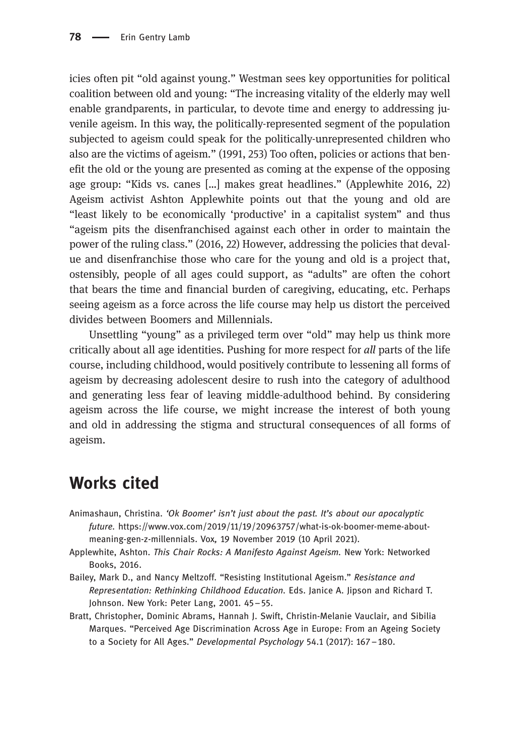icies often pit "old against young." Westman sees key opportunities for political coalition between old and young: "The increasing vitality of the elderly may well enable grandparents, in particular, to devote time and energy to addressing juvenile ageism. In this way, the politically-represented segment of the population subjected to ageism could speak for the politically-unrepresented children who also are the victims of ageism." (1991, 253) Too often, policies or actions that benefit the old or the young are presented as coming at the expense of the opposing age group: "Kids vs. canes […] makes great headlines." (Applewhite 2016, 22) Ageism activist Ashton Applewhite points out that the young and old are "least likely to be economically 'productive' in a capitalist system" and thus "ageism pits the disenfranchised against each other in order to maintain the power of the ruling class." (2016, 22) However, addressing the policies that devalue and disenfranchise those who care for the young and old is a project that, ostensibly, people of all ages could support, as "adults" are often the cohort that bears the time and financial burden of caregiving, educating, etc. Perhaps seeing ageism as a force across the life course may help us distort the perceived divides between Boomers and Millennials.

Unsettling "young" as a privileged term over "old" may help us think more critically about all age identities. Pushing for more respect for all parts of the life course, including childhood, would positively contribute to lessening all forms of ageism by decreasing adolescent desire to rush into the category of adulthood and generating less fear of leaving middle-adulthood behind. By considering ageism across the life course, we might increase the interest of both young and old in addressing the stigma and structural consequences of all forms of ageism.

#### Works cited

- Animashaun, Christina. 'Ok Boomer' isn't just about the past. It's about our apocalyptic future. [https://www.vox.com/2019/11/19/20963757/what-is-ok-boomer-meme-about](https://www.vox.com/2019/11/19/20963757/what-is-ok-boomer-meme-about-meaning-gen-z-millennials)[meaning-gen-z-millennials](https://www.vox.com/2019/11/19/20963757/what-is-ok-boomer-meme-about-meaning-gen-z-millennials). Vox, 19 November 2019 (10 April 2021).
- Applewhite, Ashton. This Chair Rocks: A Manifesto Against Ageism. New York: Networked Books, 2016.
- Bailey, Mark D., and Nancy Meltzoff. "Resisting Institutional Ageism." Resistance and Representation: Rethinking Childhood Education. Eds. Janice A. Jipson and Richard T. Johnson. New York: Peter Lang, 2001. 45–55.
- Bratt, Christopher, Dominic Abrams, Hannah J. Swift, Christin-Melanie Vauclair, and Sibilia Marques. "Perceived Age Discrimination Across Age in Europe: From an Ageing Society to a Society for All Ages." Developmental Psychology 54.1 (2017): 167–180.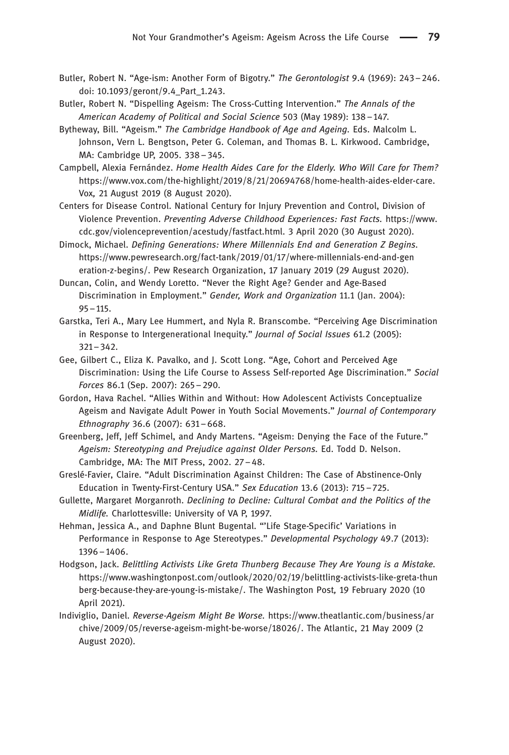- Butler, Robert N. "Age-ism: Another Form of Bigotry." The Gerontologist 9.4 (1969): 243–246. doi: [10.1093/geront/9.4\\_Part\\_1.243](http://10.1093/geront/9.4_Part_1.243).
- Butler, Robert N. "Dispelling Ageism: The Cross-Cutting Intervention." The Annals of the American Academy of Political and Social Science 503 (May 1989): 138–147.
- Bytheway, Bill. "Ageism." The Cambridge Handbook of Age and Ageing. Eds. Malcolm L. Johnson, Vern L. Bengtson, Peter G. Coleman, and Thomas B. L. Kirkwood. Cambridge, MA: Cambridge UP, 2005. 338–345.
- Campbell, Alexia Fernández. Home Health Aides Care for the Elderly. Who Will Care for Them? <https://www.vox.com/the-highlight/2019/8/21/20694768/home-health-aides-elder-care>. Vox, 21 August 2019 (8 August 2020).
- Centers for Disease Control. National Century for Injury Prevention and Control, Division of Violence Prevention. Preventing Adverse Childhood Experiences: Fast Facts. [https://www.](https://www.cdc.gov/violenceprevention/acestudy/fastfact.html) [cdc.gov/violenceprevention/acestudy/fastfact.html.](https://www.cdc.gov/violenceprevention/acestudy/fastfact.html) 3 April 2020 (30 August 2020).
- Dimock, Michael. Defining Generations: Where Millennials End and Generation Z Begins. [https://www.pewresearch.org/fact-tank/2019/01/17/where-millennials-end-and-gen](https://www.pewresearch.org/fact-tank/2019/01/17/where-millennials-end-and-generation-z-begins/) [eration-z-begins/.](https://www.pewresearch.org/fact-tank/2019/01/17/where-millennials-end-and-generation-z-begins/) Pew Research Organization, 17 January 2019 (29 August 2020).
- Duncan, Colin, and Wendy Loretto. "Never the Right Age? Gender and Age-Based Discrimination in Employment." Gender, Work and Organization 11.1 (Jan. 2004): 95–115.
- Garstka, Teri A., Mary Lee Hummert, and Nyla R. Branscombe. "Perceiving Age Discrimination in Response to Intergenerational Inequity." Journal of Social Issues 61.2 (2005): 321–342.
- Gee, Gilbert C., Eliza K. Pavalko, and J. Scott Long. "Age, Cohort and Perceived Age Discrimination: Using the Life Course to Assess Self-reported Age Discrimination." Social Forces 86.1 (Sep. 2007): 265–290.
- Gordon, Hava Rachel. "Allies Within and Without: How Adolescent Activists Conceptualize Ageism and Navigate Adult Power in Youth Social Movements." Journal of Contemporary Ethnography 36.6 (2007): 631–668.
- Greenberg, Jeff, Jeff Schimel, and Andy Martens. "Ageism: Denying the Face of the Future." Ageism: Stereotyping and Prejudice against Older Persons. Ed. Todd D. Nelson. Cambridge, MA: The MIT Press, 2002. 27–48.
- Greslé-Favier, Claire. "Adult Discrimination Against Children: The Case of Abstinence-Only Education in Twenty-First-Century USA." Sex Education 13.6 (2013): 715–725.
- Gullette, Margaret Morganroth. Declining to Decline: Cultural Combat and the Politics of the Midlife. Charlottesville: University of VA P, 1997.
- Hehman, Jessica A., and Daphne Blunt Bugental. "'Life Stage-Specific' Variations in Performance in Response to Age Stereotypes." Developmental Psychology 49.7 (2013): 1396–1406.
- Hodgson, Jack. Belittling Activists Like Greta Thunberg Because They Are Young is a Mistake. [https://www.washingtonpost.com/outlook/2020/02/19/belittling-activists-like-greta-thun](https://www.washingtonpost.com/outlook/2020/02/19/belittling-activists-like-greta-thunberg-because-they-are-young-is-mistake/) [berg-because-they-are-young-is-mistake/.](https://www.washingtonpost.com/outlook/2020/02/19/belittling-activists-like-greta-thunberg-because-they-are-young-is-mistake/) The Washington Post, 19 February 2020 (10 April 2021).
- Indiviglio, Daniel. Reverse-Ageism Might Be Worse. [https://www.theatlantic.com/business/ar](https://www.theatlantic.com/business/archive/2009/05/reverse-ageism-might-be-worse/18026/) [chive/2009/05/reverse-ageism-might-be-worse/18026/.](https://www.theatlantic.com/business/archive/2009/05/reverse-ageism-might-be-worse/18026/) The Atlantic, 21 May 2009 (2 August 2020).